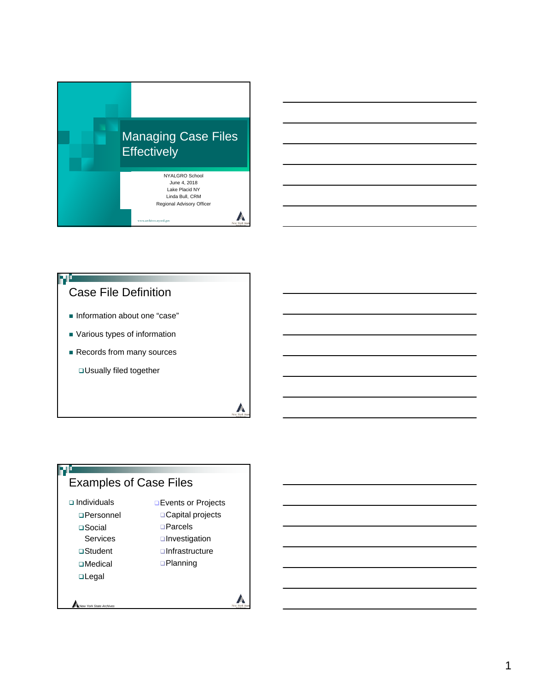

# **Information about one "case"** Case File Definition

- Various types of information
- Records from many sources

Usually filed together

## Examples of Case Files

 $\Box$  Individuals

FР

- Personnel □Social Services
- Student
- □Medical
- **u**Legal
- **Events or Projects** □Capital projects □Parcels **unvestigation** □Infrastructure

A

**A** 

**Q**Planning

*New York State Archives*

1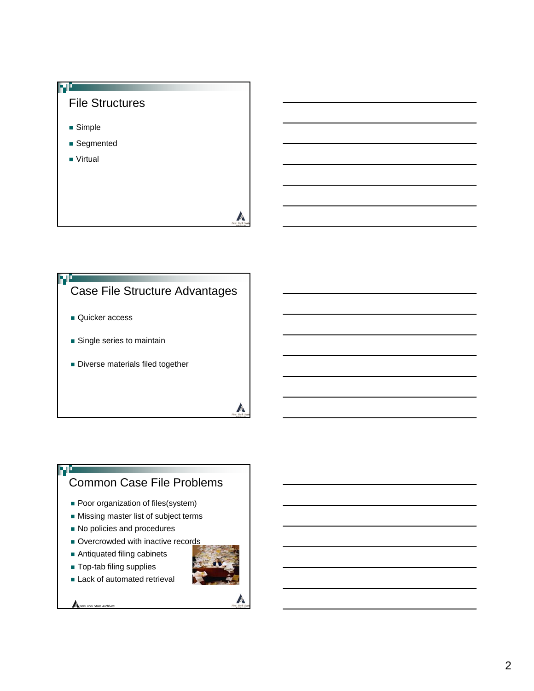



- Single series to maintain
- Diverse materials filed together

## Common Case File Problems

- **Poor organization of files(system)**
- **Missing master list of subject terms**
- $\blacksquare$  No policies and procedures
- Overcrowded with inactive records
- Antiquated filing cabinets
- Top-tab filing supplies
- **Lack of automated retrieval**



**A** 

ŦŪ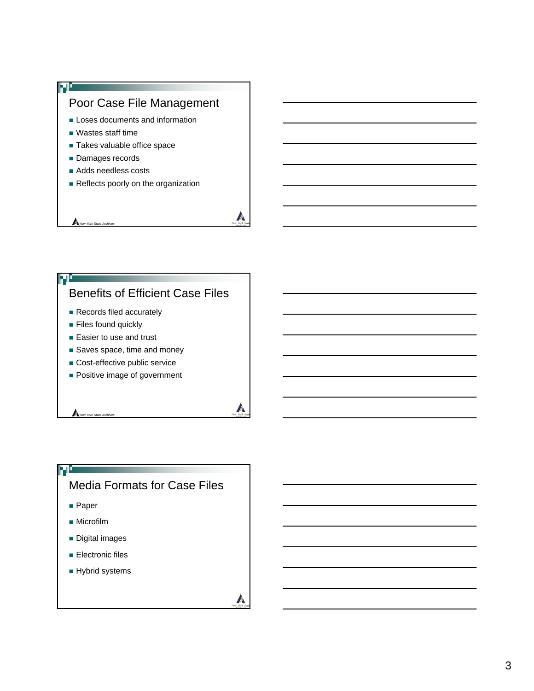

### Benefits of Efficient Case Files

- Records filed accurately
- **Files found quickly**
- Easier to use and trust
- Saves space, time and money
- Cost-effective public service
- **Positive image of government**

## Media Formats for Case Files

**A** 

 $\sqrt{2}$ 

■ Paper

ŊŮ

- **Microfilm**
- **Digital images**

*<i>New York State Archi* 

- **Electronic files**
- **Hybrid systems**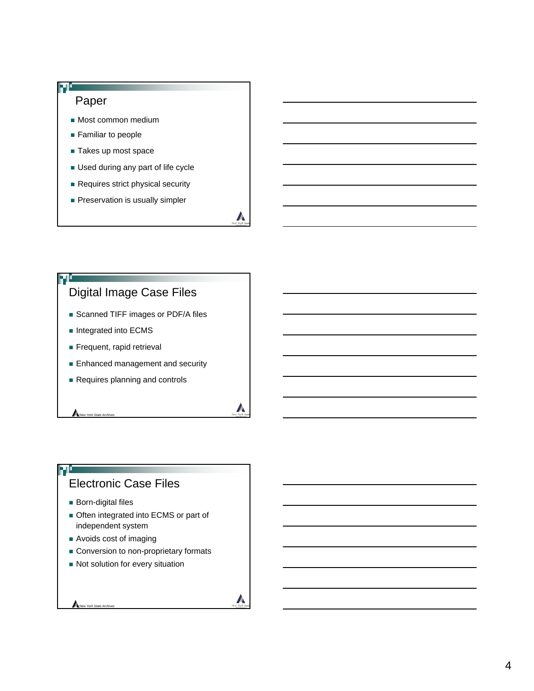### Paper

- **Most common medium**
- **Familiar to people**
- Takes up most space
- **Used during any part of life cycle**
- Requires strict physical security
- **Preservation is usually simpler**

 $\mathbb{Z}$ 

**A** 

 $\sqrt{2}$ 

### Digital Image Case Files

- Scanned TIFF images or PDF/A files
- Integrated into ECMS
- Frequent, rapid retrieval
- **Enhanced management and security**
- Requires planning and controls

## Electronic Case Files

**Born-digital files** 

*New York State Archives* 

ŦĿ

- **Often integrated into ECMS or part of** independent system
- Avoids cost of imaging
- Conversion to non-proprietary formats
- Not solution for every situation

*New York State Archives*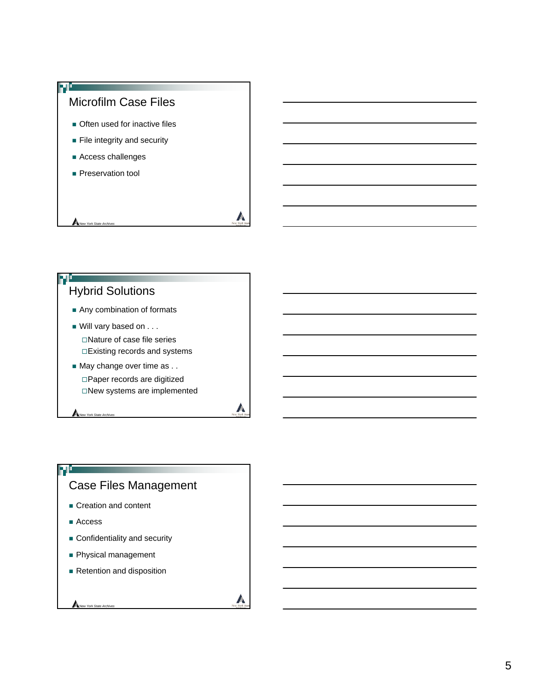

## Hybrid Solutions

- Any combination of formats
- Will vary based on . . . □Nature of case file series Existing records and systems
- May change over time as . . Paper records are digitized New systems are implemented

**A** 

A

### Case Files Management

- Creation and content
- Access

FО

*New York State Archives*

- **Confidentiality and security**
- **Physical management**
- Retention and disposition

#### *New York State Archives*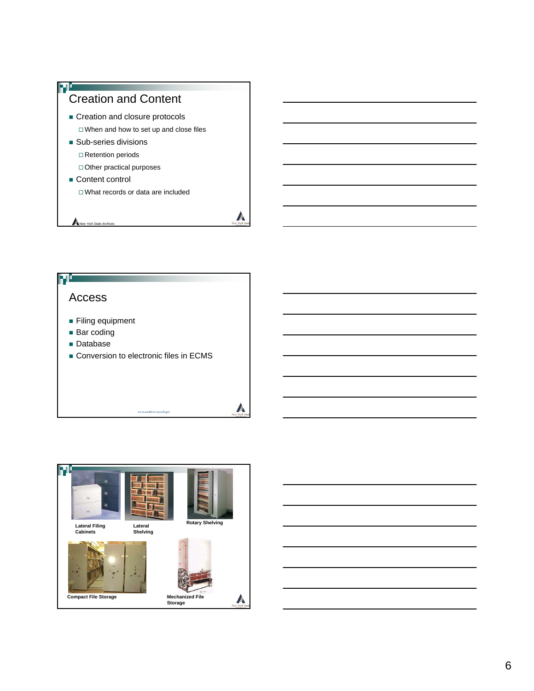



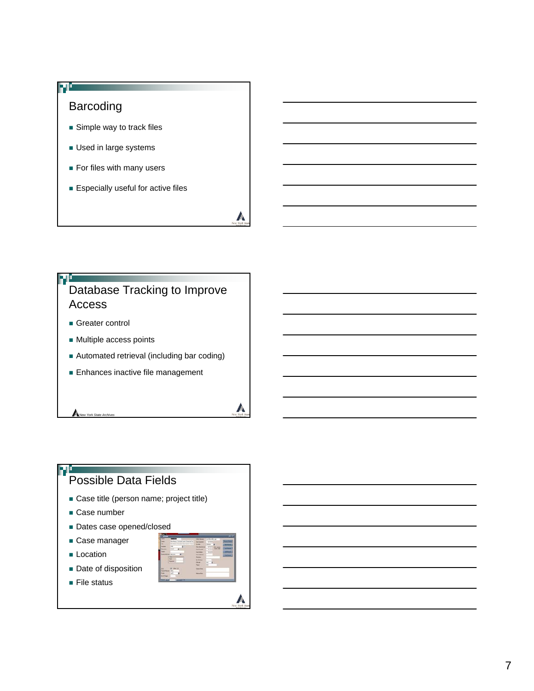

## Database Tracking to Improve Access

- Greater control
- **Multiple access points**
- Automated retrieval (including bar coding)
- **Enhances inactive file management**

#### 70 Possible Data Fields

- **Case title (person name; project title)**
- Case number

*New York State Archives* 

- Dates case opened/closed
- Case manager
- **Location**
- Date of disposition
- File status



**A**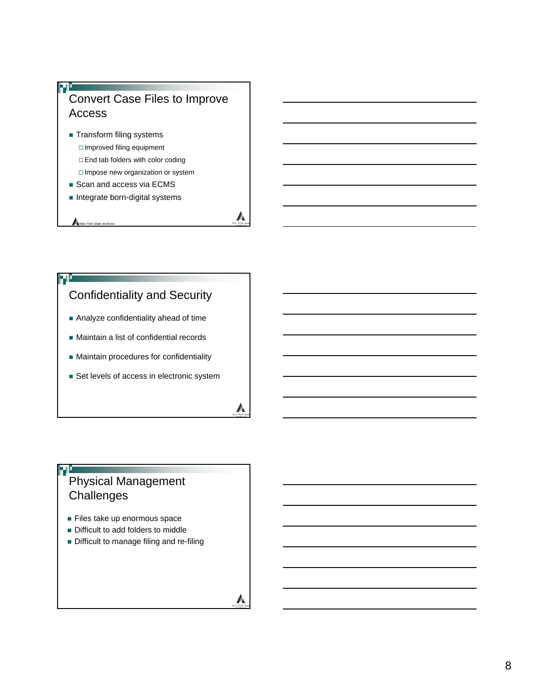

- **Transform filing systems**  Improved filing equipment □ End tab folders with color coding □ Impose new organization or system
- Scan and access via ECMS
- **Integrate born-digital systems**

*New York State Archives*

# Confidentiality and Security

- **Analyze confidentiality ahead of time**
- Maintain a list of confidential records
- **Maintain procedures for confidentiality**
- Set levels of access in electronic system

## Physical Management **Challenges**

70

- Files take up enormous space
- **Difficult to add folders to middle**
- Difficult to manage filing and re-filing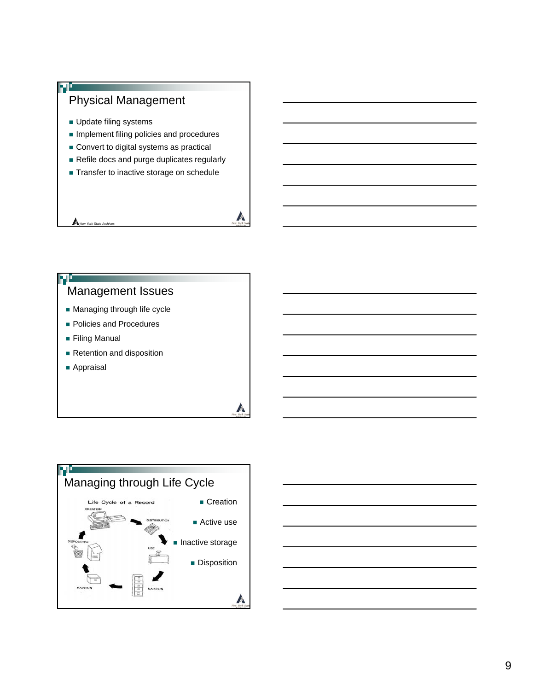

## Management Issues

- **Managing through life cycle**
- **Policies and Procedures**
- **Filing Manual**
- Retention and disposition
- Appraisal



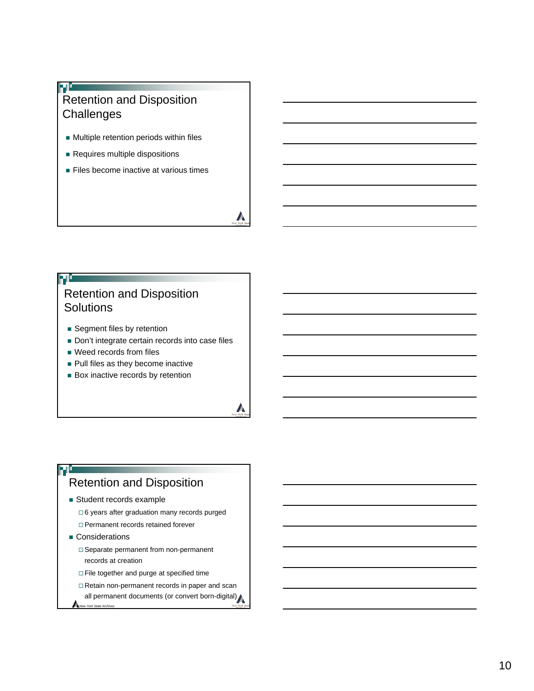### T Retention and Disposition **Challenges**

- **Nultiple retention periods within files**
- Requires multiple dispositions
- **Files become inactive at various times**

 $\mathbb{Z}$ 

 $\mathbb{A}$ 

## Retention and Disposition **Solutions**

- Segment files by retention
- Don't integrate certain records into case files
- **Weed records from files**
- **Pull files as they become inactive**
- **Box inactive records by retention**

### Retention and Disposition

- Student records example
	- 6 years after graduation many records purged
	- Permanent records retained forever
- Considerations

т

- □ Separate permanent from non-permanent records at creation
- □ File together and purge at specified time
- Retain non-permanent records in paper and scan
- all permanent documents (or convert born-digital) *New York State Archives*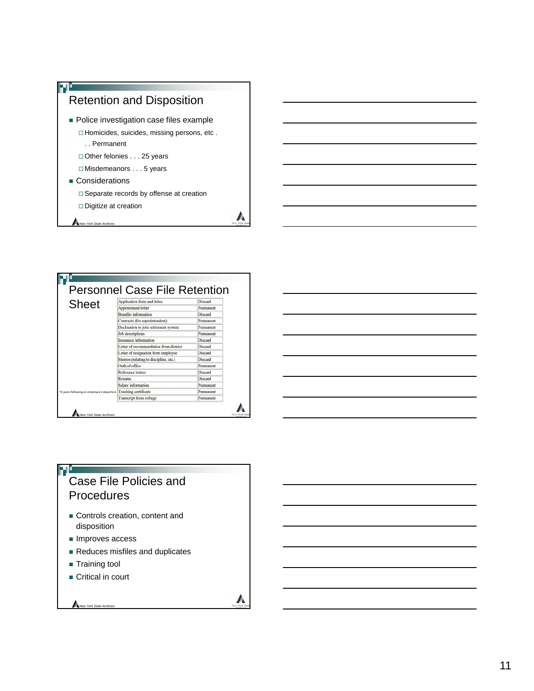



### 70 Case File Policies and **Procedures**

- Controls creation, content and disposition
- **Improves access**
- Reduces misfiles and duplicates

A

- **Training tool**
- Critical in court

*New York State Archives*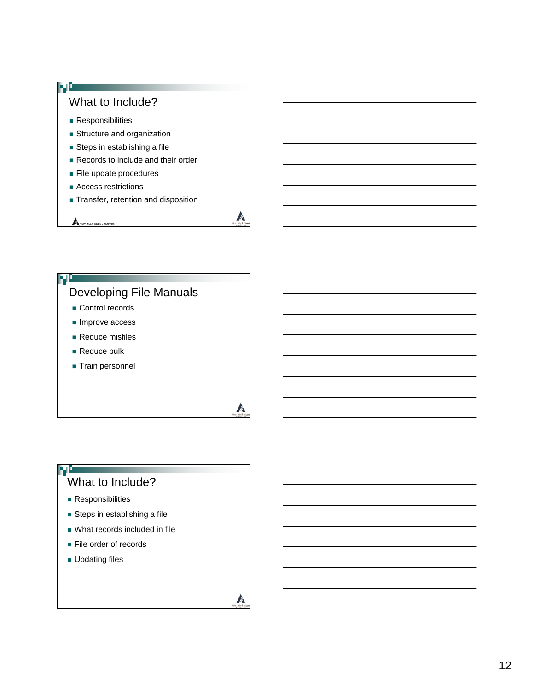

### Developing File Manuals

**A** 

**A** 

- Control records
- $\blacksquare$  Improve access
- Reduce misfiles
- Reduce bulk
- Train personnel

### What to Include?

**Responsibilities** 

ŦŪ

- **Steps in establishing a file**
- What records included in file
- **File order of records**
- **Updating files**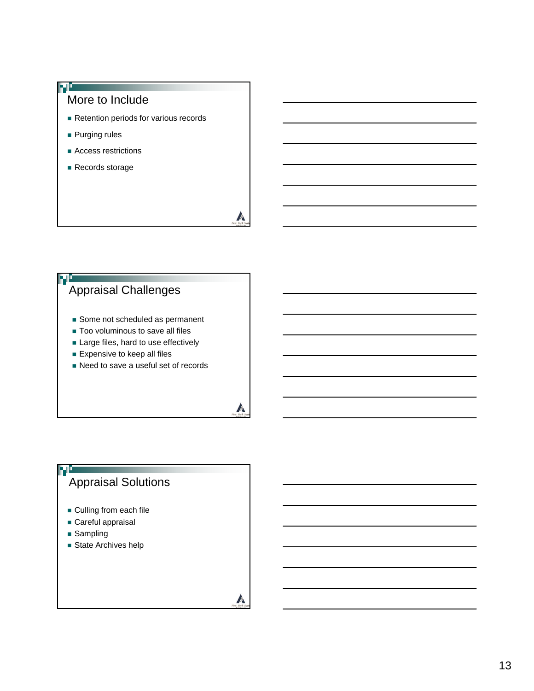

## Appraisal Challenges

- Some not scheduled as permanent
- Too voluminous to save all files
- Large files, hard to use effectively
- **Expensive to keep all files**
- Need to save a useful set of records

**A** 

**A** 

## Appraisal Solutions

- **Culling from each file**
- Careful appraisal
- **Sampling**

٣Ō

State Archives help